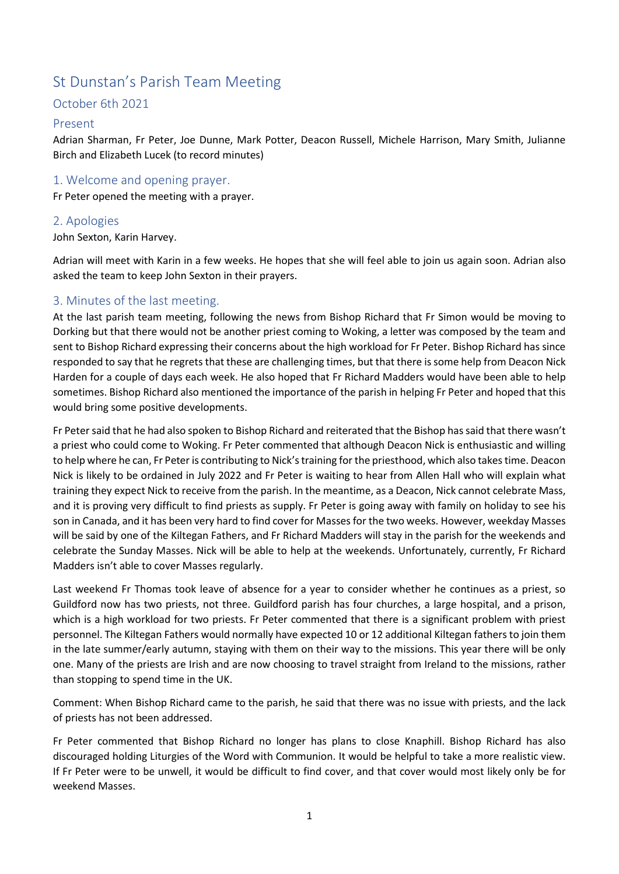# St Dunstan's Parish Team Meeting

## October 6th 2021

## Present

Adrian Sharman, Fr Peter, Joe Dunne, Mark Potter, Deacon Russell, Michele Harrison, Mary Smith, Julianne Birch and Elizabeth Lucek (to record minutes)

### 1. Welcome and opening prayer.

Fr Peter opened the meeting with a prayer.

#### 2. Apologies

John Sexton, Karin Harvey.

Adrian will meet with Karin in a few weeks. He hopes that she will feel able to join us again soon. Adrian also asked the team to keep John Sexton in their prayers.

#### 3. Minutes of the last meeting.

At the last parish team meeting, following the news from Bishop Richard that Fr Simon would be moving to Dorking but that there would not be another priest coming to Woking, a letter was composed by the team and sent to Bishop Richard expressing their concerns about the high workload for Fr Peter. Bishop Richard has since responded to say that he regrets that these are challenging times, but that there is some help from Deacon Nick Harden for a couple of days each week. He also hoped that Fr Richard Madders would have been able to help sometimes. Bishop Richard also mentioned the importance of the parish in helping Fr Peter and hoped that this would bring some positive developments.

Fr Peter said that he had also spoken to Bishop Richard and reiterated that the Bishop has said that there wasn't a priest who could come to Woking. Fr Peter commented that although Deacon Nick is enthusiastic and willing to help where he can, Fr Peter is contributing to Nick's training for the priesthood, which also takes time. Deacon Nick is likely to be ordained in July 2022 and Fr Peter is waiting to hear from Allen Hall who will explain what training they expect Nick to receive from the parish. In the meantime, as a Deacon, Nick cannot celebrate Mass, and it is proving very difficult to find priests as supply. Fr Peter is going away with family on holiday to see his son in Canada, and it has been very hard to find cover for Masses for the two weeks. However, weekday Masses will be said by one of the Kiltegan Fathers, and Fr Richard Madders will stay in the parish for the weekends and celebrate the Sunday Masses. Nick will be able to help at the weekends. Unfortunately, currently, Fr Richard Madders isn't able to cover Masses regularly.

Last weekend Fr Thomas took leave of absence for a year to consider whether he continues as a priest, so Guildford now has two priests, not three. Guildford parish has four churches, a large hospital, and a prison, which is a high workload for two priests. Fr Peter commented that there is a significant problem with priest personnel. The Kiltegan Fathers would normally have expected 10 or 12 additional Kiltegan fathers to join them in the late summer/early autumn, staying with them on their way to the missions. This year there will be only one. Many of the priests are Irish and are now choosing to travel straight from Ireland to the missions, rather than stopping to spend time in the UK.

Comment: When Bishop Richard came to the parish, he said that there was no issue with priests, and the lack of priests has not been addressed.

Fr Peter commented that Bishop Richard no longer has plans to close Knaphill. Bishop Richard has also discouraged holding Liturgies of the Word with Communion. It would be helpful to take a more realistic view. If Fr Peter were to be unwell, it would be difficult to find cover, and that cover would most likely only be for weekend Masses.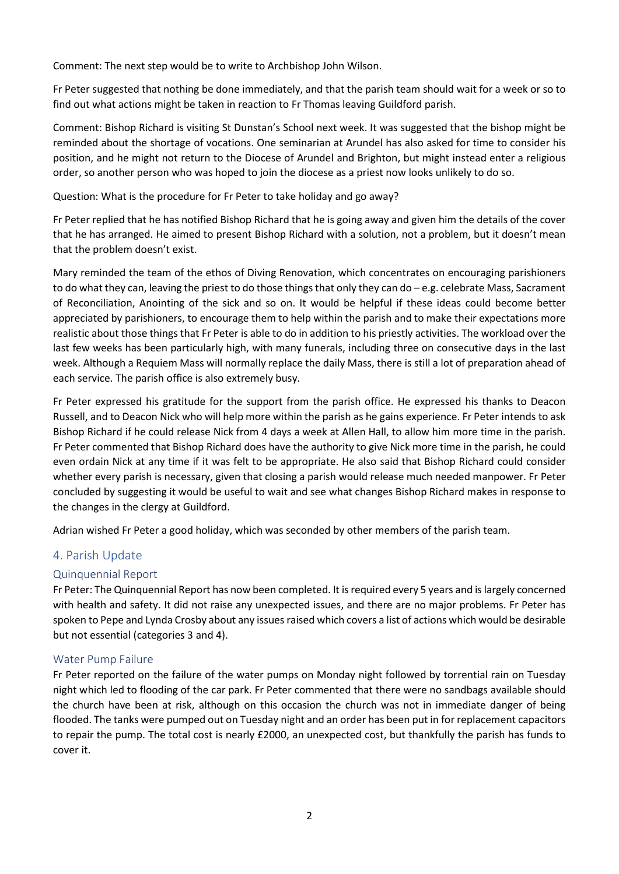Comment: The next step would be to write to Archbishop John Wilson.

Fr Peter suggested that nothing be done immediately, and that the parish team should wait for a week or so to find out what actions might be taken in reaction to Fr Thomas leaving Guildford parish.

Comment: Bishop Richard is visiting St Dunstan's School next week. It was suggested that the bishop might be reminded about the shortage of vocations. One seminarian at Arundel has also asked for time to consider his position, and he might not return to the Diocese of Arundel and Brighton, but might instead enter a religious order, so another person who was hoped to join the diocese as a priest now looks unlikely to do so.

Question: What is the procedure for Fr Peter to take holiday and go away?

Fr Peter replied that he has notified Bishop Richard that he is going away and given him the details of the cover that he has arranged. He aimed to present Bishop Richard with a solution, not a problem, but it doesn't mean that the problem doesn't exist.

Mary reminded the team of the ethos of Diving Renovation, which concentrates on encouraging parishioners to do what they can, leaving the priest to do those things that only they can do – e.g. celebrate Mass, Sacrament of Reconciliation, Anointing of the sick and so on. It would be helpful if these ideas could become better appreciated by parishioners, to encourage them to help within the parish and to make their expectations more realistic about those things that Fr Peter is able to do in addition to his priestly activities. The workload over the last few weeks has been particularly high, with many funerals, including three on consecutive days in the last week. Although a Requiem Mass will normally replace the daily Mass, there is still a lot of preparation ahead of each service. The parish office is also extremely busy.

Fr Peter expressed his gratitude for the support from the parish office. He expressed his thanks to Deacon Russell, and to Deacon Nick who will help more within the parish as he gains experience. Fr Peter intends to ask Bishop Richard if he could release Nick from 4 days a week at Allen Hall, to allow him more time in the parish. Fr Peter commented that Bishop Richard does have the authority to give Nick more time in the parish, he could even ordain Nick at any time if it was felt to be appropriate. He also said that Bishop Richard could consider whether every parish is necessary, given that closing a parish would release much needed manpower. Fr Peter concluded by suggesting it would be useful to wait and see what changes Bishop Richard makes in response to the changes in the clergy at Guildford.

Adrian wished Fr Peter a good holiday, which was seconded by other members of the parish team.

#### 4. Parish Update

#### Quinquennial Report

Fr Peter: The Quinquennial Report has now been completed. It is required every 5 years and is largely concerned with health and safety. It did not raise any unexpected issues, and there are no major problems. Fr Peter has spoken to Pepe and Lynda Crosby about any issues raised which covers a list of actions which would be desirable but not essential (categories 3 and 4).

#### Water Pump Failure

Fr Peter reported on the failure of the water pumps on Monday night followed by torrential rain on Tuesday night which led to flooding of the car park. Fr Peter commented that there were no sandbags available should the church have been at risk, although on this occasion the church was not in immediate danger of being flooded. The tanks were pumped out on Tuesday night and an order has been put in for replacement capacitors to repair the pump. The total cost is nearly £2000, an unexpected cost, but thankfully the parish has funds to cover it.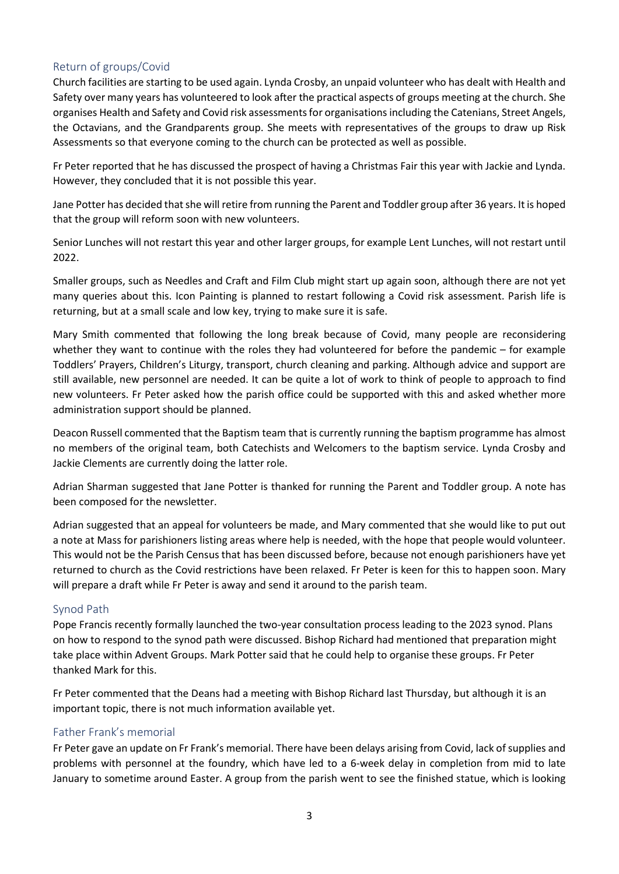## Return of groups/Covid

Church facilities are starting to be used again. Lynda Crosby, an unpaid volunteer who has dealt with Health and Safety over many years has volunteered to look after the practical aspects of groups meeting at the church. She organises Health and Safety and Covid risk assessments for organisations including the Catenians, Street Angels, the Octavians, and the Grandparents group. She meets with representatives of the groups to draw up Risk Assessments so that everyone coming to the church can be protected as well as possible.

Fr Peter reported that he has discussed the prospect of having a Christmas Fair this year with Jackie and Lynda. However, they concluded that it is not possible this year.

Jane Potter has decided that she will retire from running the Parent and Toddler group after 36 years. It is hoped that the group will reform soon with new volunteers.

Senior Lunches will not restart this year and other larger groups, for example Lent Lunches, will not restart until 2022.

Smaller groups, such as Needles and Craft and Film Club might start up again soon, although there are not yet many queries about this. Icon Painting is planned to restart following a Covid risk assessment. Parish life is returning, but at a small scale and low key, trying to make sure it is safe.

Mary Smith commented that following the long break because of Covid, many people are reconsidering whether they want to continue with the roles they had volunteered for before the pandemic – for example Toddlers' Prayers, Children's Liturgy, transport, church cleaning and parking. Although advice and support are still available, new personnel are needed. It can be quite a lot of work to think of people to approach to find new volunteers. Fr Peter asked how the parish office could be supported with this and asked whether more administration support should be planned.

Deacon Russell commented that the Baptism team that is currently running the baptism programme has almost no members of the original team, both Catechists and Welcomers to the baptism service. Lynda Crosby and Jackie Clements are currently doing the latter role.

Adrian Sharman suggested that Jane Potter is thanked for running the Parent and Toddler group. A note has been composed for the newsletter.

Adrian suggested that an appeal for volunteers be made, and Mary commented that she would like to put out a note at Mass for parishioners listing areas where help is needed, with the hope that people would volunteer. This would not be the Parish Census that has been discussed before, because not enough parishioners have yet returned to church as the Covid restrictions have been relaxed. Fr Peter is keen for this to happen soon. Mary will prepare a draft while Fr Peter is away and send it around to the parish team.

#### Synod Path

Pope Francis recently formally launched the two-year consultation process leading to the 2023 synod. Plans on how to respond to the synod path were discussed. Bishop Richard had mentioned that preparation might take place within Advent Groups. Mark Potter said that he could help to organise these groups. Fr Peter thanked Mark for this.

Fr Peter commented that the Deans had a meeting with Bishop Richard last Thursday, but although it is an important topic, there is not much information available yet.

#### Father Frank's memorial

Fr Peter gave an update on Fr Frank's memorial. There have been delays arising from Covid, lack of supplies and problems with personnel at the foundry, which have led to a 6-week delay in completion from mid to late January to sometime around Easter. A group from the parish went to see the finished statue, which is looking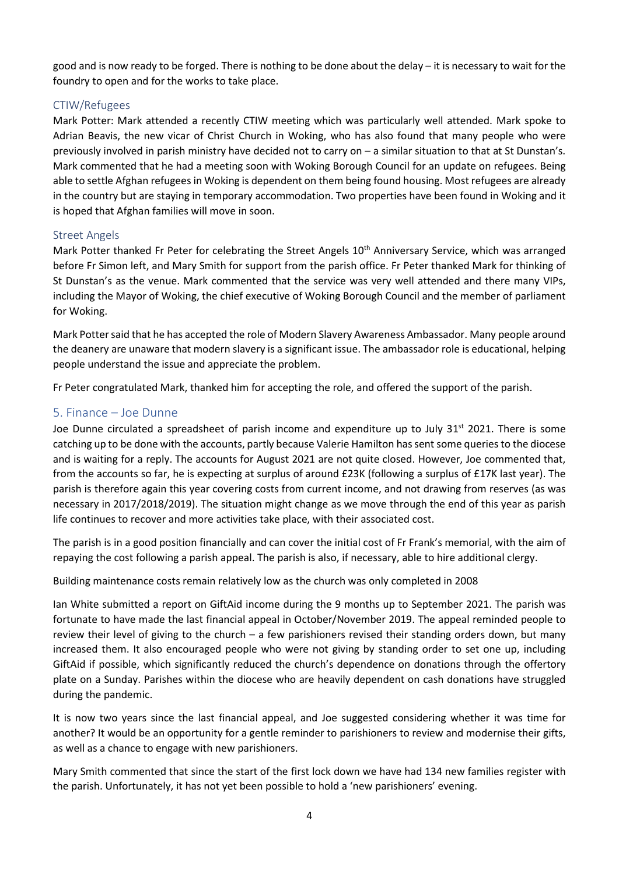good and is now ready to be forged. There is nothing to be done about the delay – it is necessary to wait for the foundry to open and for the works to take place.

#### CTIW/Refugees

Mark Potter: Mark attended a recently CTIW meeting which was particularly well attended. Mark spoke to Adrian Beavis, the new vicar of Christ Church in Woking, who has also found that many people who were previously involved in parish ministry have decided not to carry on – a similar situation to that at St Dunstan's. Mark commented that he had a meeting soon with Woking Borough Council for an update on refugees. Being able to settle Afghan refugees in Woking is dependent on them being found housing. Most refugees are already in the country but are staying in temporary accommodation. Two properties have been found in Woking and it is hoped that Afghan families will move in soon.

#### Street Angels

Mark Potter thanked Fr Peter for celebrating the Street Angels 10<sup>th</sup> Anniversary Service, which was arranged before Fr Simon left, and Mary Smith for support from the parish office. Fr Peter thanked Mark for thinking of St Dunstan's as the venue. Mark commented that the service was very well attended and there many VIPs, including the Mayor of Woking, the chief executive of Woking Borough Council and the member of parliament for Woking.

Mark Potter said that he has accepted the role of Modern Slavery Awareness Ambassador. Many people around the deanery are unaware that modern slavery is a significant issue. The ambassador role is educational, helping people understand the issue and appreciate the problem.

Fr Peter congratulated Mark, thanked him for accepting the role, and offered the support of the parish.

## 5. Finance – Joe Dunne

Joe Dunne circulated a spreadsheet of parish income and expenditure up to July  $31<sup>st</sup> 2021$ . There is some catching up to be done with the accounts, partly because Valerie Hamilton has sent some queries to the diocese and is waiting for a reply. The accounts for August 2021 are not quite closed. However, Joe commented that, from the accounts so far, he is expecting at surplus of around £23K (following a surplus of £17K last year). The parish is therefore again this year covering costs from current income, and not drawing from reserves (as was necessary in 2017/2018/2019). The situation might change as we move through the end of this year as parish life continues to recover and more activities take place, with their associated cost.

The parish is in a good position financially and can cover the initial cost of Fr Frank's memorial, with the aim of repaying the cost following a parish appeal. The parish is also, if necessary, able to hire additional clergy.

Building maintenance costs remain relatively low as the church was only completed in 2008

Ian White submitted a report on GiftAid income during the 9 months up to September 2021. The parish was fortunate to have made the last financial appeal in October/November 2019. The appeal reminded people to review their level of giving to the church – a few parishioners revised their standing orders down, but many increased them. It also encouraged people who were not giving by standing order to set one up, including GiftAid if possible, which significantly reduced the church's dependence on donations through the offertory plate on a Sunday. Parishes within the diocese who are heavily dependent on cash donations have struggled during the pandemic.

It is now two years since the last financial appeal, and Joe suggested considering whether it was time for another? It would be an opportunity for a gentle reminder to parishioners to review and modernise their gifts, as well as a chance to engage with new parishioners.

Mary Smith commented that since the start of the first lock down we have had 134 new families register with the parish. Unfortunately, it has not yet been possible to hold a 'new parishioners' evening.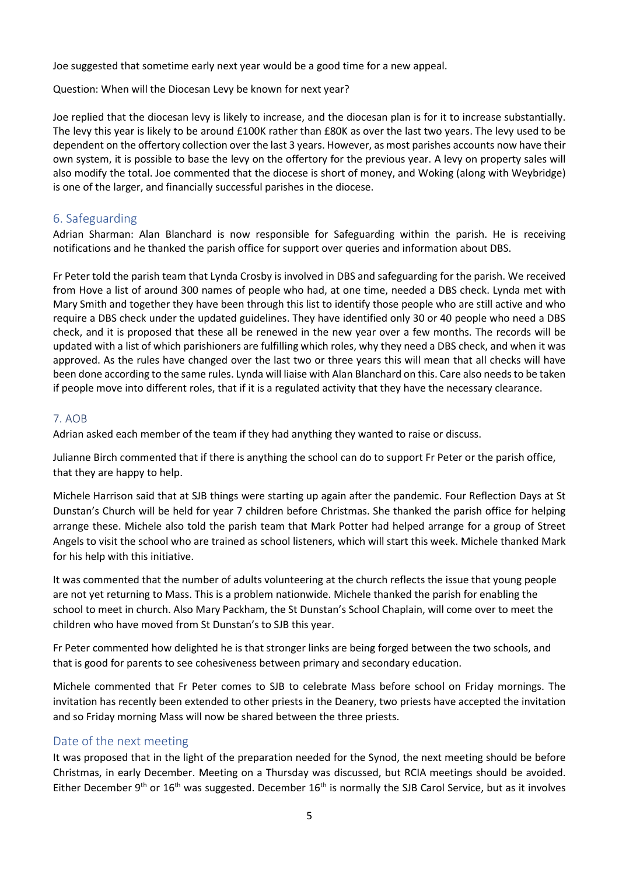Joe suggested that sometime early next year would be a good time for a new appeal.

Question: When will the Diocesan Levy be known for next year?

Joe replied that the diocesan levy is likely to increase, and the diocesan plan is for it to increase substantially. The levy this year is likely to be around £100K rather than £80K as over the last two years. The levy used to be dependent on the offertory collection over the last 3 years. However, as most parishes accounts now have their own system, it is possible to base the levy on the offertory for the previous year. A levy on property sales will also modify the total. Joe commented that the diocese is short of money, and Woking (along with Weybridge) is one of the larger, and financially successful parishes in the diocese.

## 6. Safeguarding

Adrian Sharman: Alan Blanchard is now responsible for Safeguarding within the parish. He is receiving notifications and he thanked the parish office for support over queries and information about DBS.

Fr Peter told the parish team that Lynda Crosby is involved in DBS and safeguarding for the parish. We received from Hove a list of around 300 names of people who had, at one time, needed a DBS check. Lynda met with Mary Smith and together they have been through this list to identify those people who are still active and who require a DBS check under the updated guidelines. They have identified only 30 or 40 people who need a DBS check, and it is proposed that these all be renewed in the new year over a few months. The records will be updated with a list of which parishioners are fulfilling which roles, why they need a DBS check, and when it was approved. As the rules have changed over the last two or three years this will mean that all checks will have been done according to the same rules. Lynda will liaise with Alan Blanchard on this. Care also needs to be taken if people move into different roles, that if it is a regulated activity that they have the necessary clearance.

#### 7. AOB

Adrian asked each member of the team if they had anything they wanted to raise or discuss.

Julianne Birch commented that if there is anything the school can do to support Fr Peter or the parish office, that they are happy to help.

Michele Harrison said that at SJB things were starting up again after the pandemic. Four Reflection Days at St Dunstan's Church will be held for year 7 children before Christmas. She thanked the parish office for helping arrange these. Michele also told the parish team that Mark Potter had helped arrange for a group of Street Angels to visit the school who are trained as school listeners, which will start this week. Michele thanked Mark for his help with this initiative.

It was commented that the number of adults volunteering at the church reflects the issue that young people are not yet returning to Mass. This is a problem nationwide. Michele thanked the parish for enabling the school to meet in church. Also Mary Packham, the St Dunstan's School Chaplain, will come over to meet the children who have moved from St Dunstan's to SJB this year.

Fr Peter commented how delighted he is that stronger links are being forged between the two schools, and that is good for parents to see cohesiveness between primary and secondary education.

Michele commented that Fr Peter comes to SJB to celebrate Mass before school on Friday mornings. The invitation has recently been extended to other priests in the Deanery, two priests have accepted the invitation and so Friday morning Mass will now be shared between the three priests.

## Date of the next meeting

It was proposed that in the light of the preparation needed for the Synod, the next meeting should be before Christmas, in early December. Meeting on a Thursday was discussed, but RCIA meetings should be avoided. Either December 9<sup>th</sup> or 16<sup>th</sup> was suggested. December 16<sup>th</sup> is normally the SJB Carol Service, but as it involves